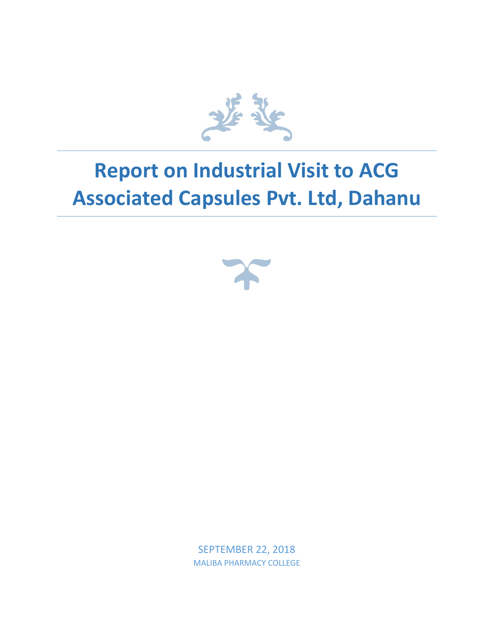

## **Report on Industrial Visit to ACG Associated Capsules Pvt. Ltd, Dahanu**



SEPTEMBER 22, 2018 MALIBA PHARMACY COLLEGE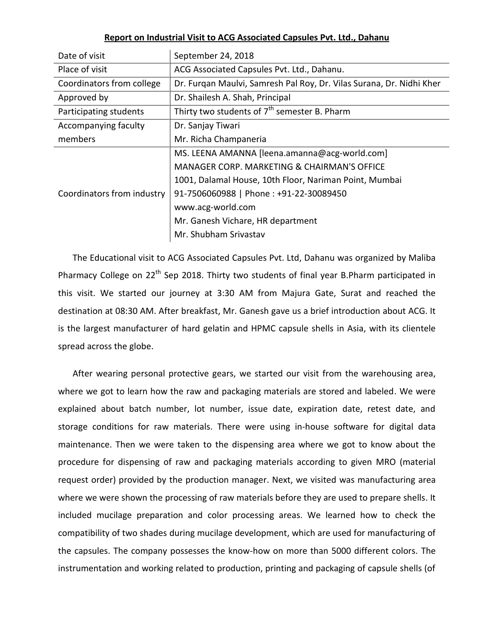| Date of visit              | September 24, 2018                                                   |
|----------------------------|----------------------------------------------------------------------|
| Place of visit             | ACG Associated Capsules Pvt. Ltd., Dahanu.                           |
| Coordinators from college  | Dr. Furgan Maulvi, Samresh Pal Roy, Dr. Vilas Surana, Dr. Nidhi Kher |
| Approved by                | Dr. Shailesh A. Shah, Principal                                      |
| Participating students     | Thirty two students of 7 <sup>th</sup> semester B. Pharm             |
| Accompanying faculty       | Dr. Sanjay Tiwari                                                    |
| members                    | Mr. Richa Champaneria                                                |
| Coordinators from industry | MS. LEENA AMANNA [leena.amanna@acg-world.com]                        |
|                            | MANAGER CORP. MARKETING & CHAIRMAN'S OFFICE                          |
|                            | 1001, Dalamal House, 10th Floor, Nariman Point, Mumbai               |
|                            | 91-7506060988   Phone: +91-22-30089450                               |
|                            | www.acg-world.com                                                    |
|                            | Mr. Ganesh Vichare, HR department                                    |
|                            | Mr. Shubham Srivastav                                                |

## **Report on Industrial Visit to [ACG Associated Capsules Pvt.](https://www.justdial.com/Mumbai/Acg-Associated-Capsules-Pvt-Ltd-Post-Ashagadh-Dahanu-Road/022P1237524525M7P1P7_BZDET) Ltd., Dahanu**

The Educational visit to ACG Associated Capsules Pvt. Ltd, Dahanu was organized by Maliba Pharmacy College on  $22<sup>th</sup>$  Sep 2018. Thirty two students of final year B.Pharm participated in this visit. We started our journey at 3:30 AM from Majura Gate, Surat and reached the destination at 08:30 AM. After breakfast, Mr. Ganesh gave us a brief introduction about ACG. It is the largest manufacturer of hard gelatin and HPMC capsule shells in Asia, with its clientele spread across the globe.

After wearing personal protective gears, we started our visit from the warehousing area, where we got to learn how the raw and packaging materials are stored and labeled. We were explained about batch number, lot number, issue date, expiration date, retest date, and storage conditions for raw materials. There were using in-house software for digital data maintenance. Then we were taken to the dispensing area where we got to know about the procedure for dispensing of raw and packaging materials according to given MRO (material request order) provided by the production manager. Next, we visited was manufacturing area where we were shown the processing of raw materials before they are used to prepare shells. It included mucilage preparation and color processing areas. We learned how to check the compatibility of two shades during mucilage development, which are used for manufacturing of the capsules. The company possesses the know-how on more than 5000 different colors. The instrumentation and working related to production, printing and packaging of capsule shells (of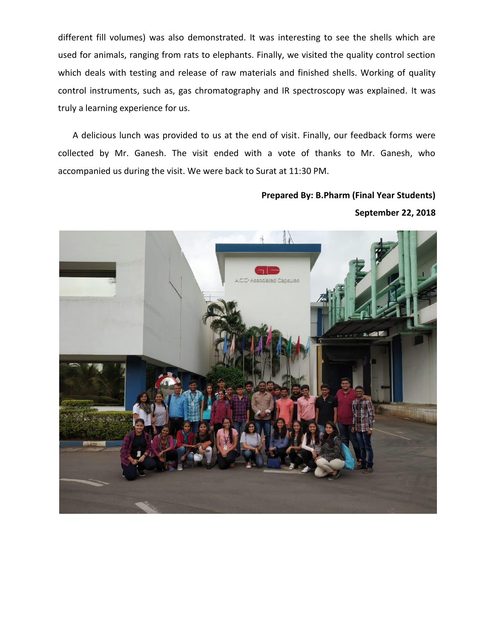different fill volumes) was also demonstrated. It was interesting to see the shells which are used for animals, ranging from rats to elephants. Finally, we visited the quality control section which deals with testing and release of raw materials and finished shells. Working of quality control instruments, such as, gas chromatography and IR spectroscopy was explained. It was truly a learning experience for us.

A delicious lunch was provided to us at the end of visit. Finally, our feedback forms were collected by Mr. Ganesh. The visit ended with a vote of thanks to Mr. Ganesh, who accompanied us during the visit. We were back to Surat at 11:30 PM.

## **Prepared By: B.Pharm (Final Year Students)**

**September 22, 2018**